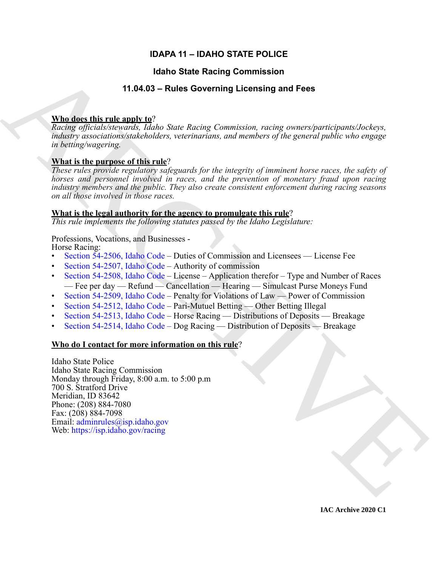# **IDAPA 11 – IDAHO STATE POLICE**

# **Idaho State Racing Commission**

# **11.04.03 – Rules Governing Licensing and Fees**

# **Who does this rule apply to**?

*Racing officials/stewards, Idaho State Racing Commission, racing owners/participants/Jockeys, industry associations/stakeholders, veterinarians, and members of the general public who engage in betting/wagering.*

# **What is the purpose of this rule**?

*These rules provide regulatory safeguards for the integrity of imminent horse races, the safety of horses and personnel involved in races, and the prevention of monetary fraud upon racing industry members and the public. They also create consistent enforcement during racing seasons on all those involved in those races.*

# **What is the legal authority for the agency to promulgate this rule**?

*This rule implements the following statutes passed by the Idaho Legislature:*

# Professions, Vocations, and Businesses -

Horse Racing:

- Section 54-2506, Idaho Code Duties of Commission and Licensees License Fee
- Section 54-2507, Idaho Code Authority of commission
- Section 54-2508, Idaho Code License Application therefor Type and Number of Races — Fee per day — Refund — Cancellation — Hearing — Simulcast Purse Moneys Fund
- Section 54-2509, Idaho Code Penalty for Violations of Law Power of Commission
- Section 54-2512, Idaho Code Pari-Mutuel Betting Other Betting Illegal
- Section 54-2513, Idaho Code Horse Racing Distributions of Deposits Breakage
- Section 54-2514, Idaho Code Dog Racing Distribution of Deposits Breakage

# **Who do I contact for more information on this rule**?

**14.1460 State Recinq [C](https://legislature.idaho.gov/statutesrules/idstat/Title54/T54CH25/SECT54-2506/)ommission**<br>
14.146.03 - Rules Governing Licensing and Fees<br>
Mind describes the rules and  $\frac{1}{2}$ <br> *Rusing infinite-harmonic linkely fore Recinq Connection rules inversigated todays with<br>
which is* Idaho State Police Idaho State Racing Commission Monday through Friday, 8:00 a.m. to 5:00 p.m 700 S. Stratford Drive Meridian, ID 83642 Phone: (208) 884-7080 Fax: (208) 884-7098 Email: adminrules@isp.idaho.gov Web: https://isp.idaho.gov/racing

**IAC Archive 2020 C1**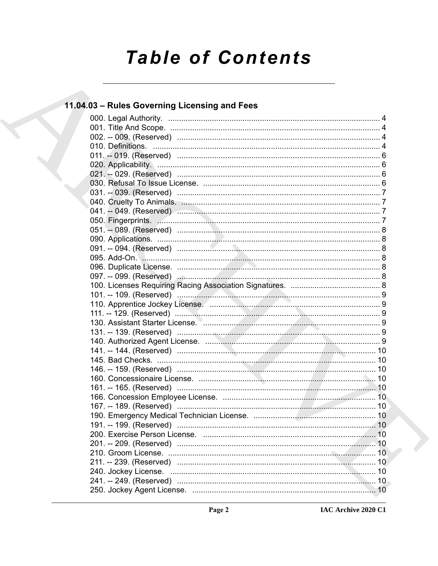# **Table of Contents**

# 11.04.03 - Rules Governing Licensing and Fees

|  | 130. Assistant Starter License. Manual Communication of the State of Table 30. |    |
|--|--------------------------------------------------------------------------------|----|
|  |                                                                                |    |
|  |                                                                                |    |
|  |                                                                                |    |
|  |                                                                                |    |
|  |                                                                                |    |
|  |                                                                                |    |
|  |                                                                                |    |
|  |                                                                                |    |
|  |                                                                                |    |
|  |                                                                                |    |
|  |                                                                                |    |
|  |                                                                                | 10 |
|  |                                                                                |    |
|  |                                                                                |    |
|  |                                                                                |    |
|  |                                                                                |    |
|  |                                                                                |    |
|  |                                                                                |    |
|  |                                                                                |    |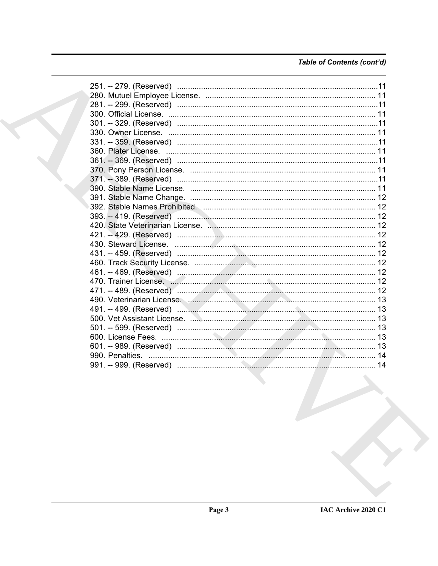# Table of Contents (cont'd)

| 251. -- 279. (Reserved) …………………………………………………………………………………11 |  |
|-----------------------------------------------------------|--|
|                                                           |  |
|                                                           |  |
|                                                           |  |
|                                                           |  |
|                                                           |  |
|                                                           |  |
|                                                           |  |
|                                                           |  |
|                                                           |  |
|                                                           |  |
|                                                           |  |
|                                                           |  |
|                                                           |  |
|                                                           |  |
|                                                           |  |
|                                                           |  |
|                                                           |  |
|                                                           |  |
|                                                           |  |
|                                                           |  |
|                                                           |  |
|                                                           |  |
|                                                           |  |
|                                                           |  |
|                                                           |  |
|                                                           |  |
|                                                           |  |
|                                                           |  |
|                                                           |  |
|                                                           |  |
|                                                           |  |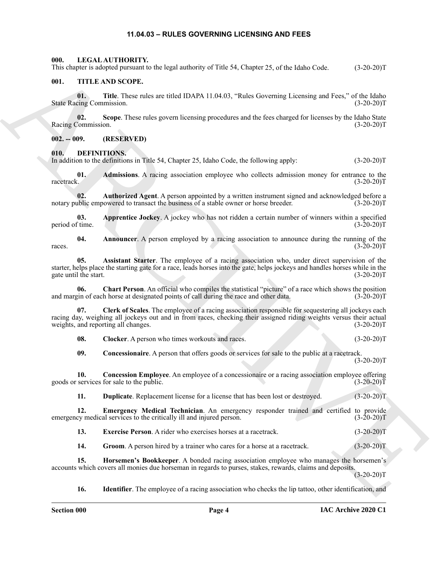#### **11.04.03 – RULES GOVERNING LICENSING AND FEES**

<span id="page-3-22"></span><span id="page-3-1"></span><span id="page-3-0"></span>**000. LEGAL AUTHORITY.**

This chapter is adopted pursuant to the legal authority of Title 54, Chapter 25, of the Idaho Code. (3-20-20)T

#### <span id="page-3-23"></span><span id="page-3-2"></span>**001. TITLE AND SCOPE.**

**01. Title**. These rules are titled IDAPA 11.04.03, "Rules Governing Licensing and Fees," of the Idaho State Racing Commission. (3-20-20)T

**02.** Scope. These rules govern licensing procedures and the fees charged for licenses by the Idaho State Commission. (3-20-20)T Racing Commission.

<span id="page-3-3"></span>**002. -- 009. (RESERVED)**

<span id="page-3-5"></span><span id="page-3-4"></span>**010. DEFINITIONS.**

In addition to the definitions in Title 54, Chapter 25, Idaho Code, the following apply: (3-20-20)T

<span id="page-3-6"></span>**01. Admissions**. A racing association employee who collects admission money for entrance to the racetrack. (3-20-20)T

<span id="page-3-10"></span>**02. Authorized Agent**. A person appointed by a written instrument signed and acknowledged before a notary public empowered to transact the business of a stable owner or horse breeder. (3-20-20)T

<span id="page-3-8"></span>**03. Apprentice Jockey**. A jockey who has not ridden a certain number of winners within a specified period of time. (3-20-20)T

<span id="page-3-7"></span>**04. Announcer**. A person employed by a racing association to announce during the running of the races.  $(3-20-20)T$ 

<span id="page-3-9"></span>**05. Assistant Starter**. The employee of a racing association who, under direct supervision of the starter, helps place the starting gate for a race, leads horses into the gate, helps jockeys and handles horses while in the gate until the start. (3-20-20)T

<span id="page-3-11"></span>**06.** Chart Person. An official who compiles the statistical "picture" of a race which shows the position vin of each horse at designated points of call during the race and other data. (3-20-20) and margin of each horse at designated points of call during the race and other data.

This deposite is absorbed particle is logical collective. CERES S. Chapter 25, this lokale Cool. (3-20-20)7<br>
01. THE AND SCOPE.<br>
01. THE AND SCOPE.<br>
10. THE AND SCOPE.<br>
10. THE THE THE AND SCOPE (Task relation of the set **07. Clerk of Scales**. The employee of a racing association responsible for sequestering all jockeys each racing day, weighing all jockeys out and in from races, checking their assigned riding weights versus their actual weights, and reporting all changes. (3-20-20)T

<span id="page-3-13"></span><span id="page-3-12"></span>**08.** Clocker. A person who times workouts and races. (3-20-20)T

<span id="page-3-15"></span><span id="page-3-14"></span>**09. Concessionaire**. A person that offers goods or services for sale to the public at a racetrack.  $(3-20-20)T$ 

**10.** Concession Employee. An employee of a concessionaire or a racing association employee offering services for sale to the public. (3-20-20) goods or services for sale to the public.

<span id="page-3-17"></span><span id="page-3-16"></span>**11. Duplicate**. Replacement license for a license that has been lost or destroyed. (3-20-20)T

**12. Emergency Medical Technician**. An emergency responder trained and certified to provide emergency medical services to the critically ill and injured person. (3-20-20)T

<span id="page-3-18"></span>**13. Exercise Person**. A rider who exercises horses at a racetrack. (3-20-20)T

<span id="page-3-20"></span><span id="page-3-19"></span>**14.** Groom. A person hired by a trainer who cares for a horse at a racetrack. (3-20-20)T

**15. Horsemen's Bookkeeper**. A bonded racing association employee who manages the horsemen's accounts which covers all monies due horseman in regards to purses, stakes, rewards, claims and deposits.  $(3-20-20)T$ 

<span id="page-3-21"></span>**16. Identifier**. The employee of a racing association who checks the lip tattoo, other identification, and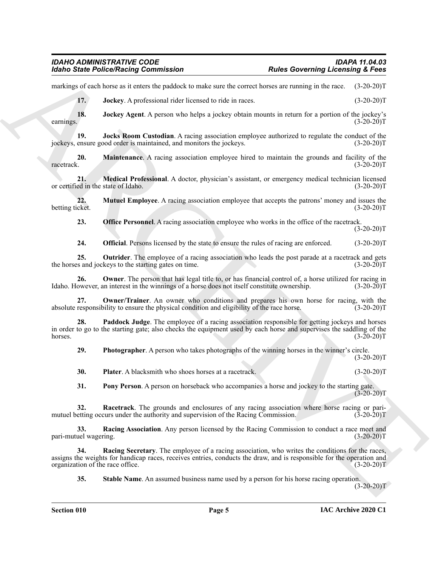#### *IDAHO ADMINISTRATIVE CODE IDAPA 11.04.03 Idaho State Police/Racing Commission Rules Governing Licensing & Fees*

markings of each horse as it enters the paddock to make sure the correct horses are running in the race. (3-20-20)T

<span id="page-4-2"></span><span id="page-4-1"></span><span id="page-4-0"></span>**17. Jockey**. A professional rider licensed to ride in races. (3-20-20)T

**18. Jockey Agent**. A person who helps a jockey obtain mounts in return for a portion of the jockey's earnings.  $(3-20-20)T$ 

**19. Jocks Room Custodian**. A racing association employee authorized to regulate the conduct of the jockeys, ensure good order is maintained, and monitors the jockeys. (3-20-20)T

<span id="page-4-3"></span>**20. Maintenance**. A racing association employee hired to maintain the grounds and facility of the racetrack. (3-20-20)T

<span id="page-4-4"></span>**21. Medical Professional**. A doctor, physician's assistant, or emergency medical technician licensed or certified in the state of Idaho. (3-20-20)T

**22. Mutuel Employee**. A racing association employee that accepts the patrons' money and issues the betting ticket. (3-20-20)T

<span id="page-4-6"></span><span id="page-4-5"></span>**23. Office Personnel**. A racing association employee who works in the office of the racetrack.  $(3-20-20)T$ 

<span id="page-4-9"></span><span id="page-4-8"></span><span id="page-4-7"></span>**24. Official**. Persons licensed by the state to ensure the rules of racing are enforced. (3-20-20)T

**25. Outrider**. The employee of a racing association who leads the post parade at a racetrack and gets of s and jockeys to the starting gates on time. (3-20-20) the horses and jockeys to the starting gates on time.

**26. Owner**. The person that has legal title to, or has financial control of, a horse utilized for racing in owever, an interest in the winnings of a horse does not itself constitute ownership. (3-20-20) Idaho. However, an interest in the winnings of a horse does not itself constitute ownership.

<span id="page-4-10"></span>**27. Owner/Trainer**. An owner who conditions and prepares his own horse for racing, with the absolute responsibility to ensure the physical condition and eligibility of the race horse. (3-20-20)T

For the Police Poisson Commutation<br>
maning to Construct the March State of the Construction of the Construction of the State of the March State of the Mark State of the State of the State of the State of the State of the **28. Paddock Judge**. The employee of a racing association responsible for getting jockeys and horses in order to go to the starting gate; also checks the equipment used by each horse and supervises the saddling of the horses.  $(3-20-20)T$ 

<span id="page-4-12"></span><span id="page-4-11"></span>**29. Photographer**. A person who takes photographs of the winning horses in the winner's circle.

<span id="page-4-13"></span>**30. Plater**. A blacksmith who shoes horses at a racetrack. (3-20-20)T

<span id="page-4-16"></span><span id="page-4-15"></span><span id="page-4-14"></span>**31. Pony Person**. A person on horseback who accompanies a horse and jockey to the starting gate.  $(3-20-20)$ T

**32. Racetrack**. The grounds and enclosures of any racing association where horse racing or parimutuel betting occurs under the authority and supervision of the Racing Commission. (3-20-20)

**33. Racing Association**. Any person licensed by the Racing Commission to conduct a race meet and uel wagering. (3-20-20)T pari-mutuel wagering.

**Racing Secretary**. The employee of a racing association, who writes the conditions for the races, assigns the weights for handicap races, receives entries, conducts the draw, and is responsible for the operation and organization of the race office. (3-20-20)T

<span id="page-4-18"></span><span id="page-4-17"></span>**35. Stable Name**. An assumed business name used by a person for his horse racing operation.

 $(3-20-20)T$ 

 $(3-20-20)$ T

**Section 010 Page 5**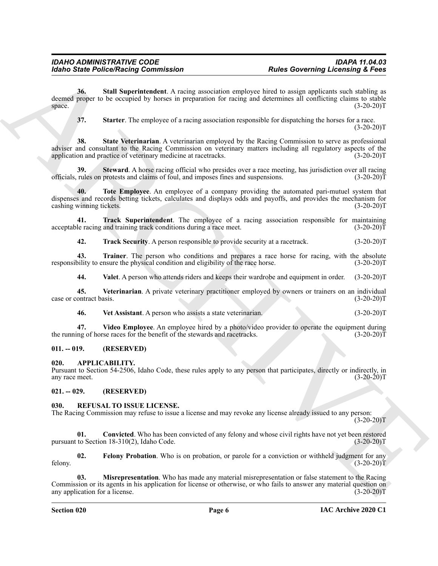Form Since Police Street Principle Commission<br>
And Since Police Street Principle Commission<br>
Street The Scheme Commission explores the result of results and specifically assumed that the specifical street of the specifica **36. Stall Superintendent**. A racing association employee hired to assign applicants such stabling as deemed proper to be occupied by horses in preparation for racing and determines all conflicting claims to stable  $\text{space.}$  (3-20-20)T

<span id="page-5-7"></span><span id="page-5-6"></span><span id="page-5-5"></span>**37. Starter**. The employee of a racing association responsible for dispatching the horses for a race.  $(3-20-20)T$ 

**38. State Veterinarian**. A veterinarian employed by the Racing Commission to serve as professional adviser and consultant to the Racing Commission on veterinary matters including all regulatory aspects of the application and practice of veterinary medicine at racetracks. (3-20-20)T

<span id="page-5-8"></span>**39.** Steward. A horse racing official who presides over a race meeting, has jurisdiction over all racing rules on protests and claims of foul, and imposes fines and suspensions. (3-20-20) officials, rules on protests and claims of foul, and imposes fines and suspensions.

<span id="page-5-9"></span>**40. Tote Employee**. An employee of a company providing the automated pari-mutuel system that dispenses and records betting tickets, calculates and displays odds and payoffs, and provides the mechanism for cashing winning tickets. (3-20-20) cashing winning tickets.

**41. Track Superintendent**. The employee of a racing association responsible for maintaining le racing and training track conditions during a race meet. (3-20-20) acceptable racing and training track conditions during a race meet.

<span id="page-5-12"></span><span id="page-5-11"></span><span id="page-5-10"></span>**42. Track Security**. A person responsible to provide security at a racetrack. (3-20-20)T

**43. Trainer**. The person who conditions and prepares a race horse for racing, with the absolute bility to ensure the physical condition and eligibility of the race horse. (3-20-20) responsibility to ensure the physical condition and eligibility of the race horse.

<span id="page-5-15"></span><span id="page-5-13"></span>**44. Valet**. A person who attends riders and keeps their wardrobe and equipment in order. (3-20-20)T

**45. Veterinarian**. A private veterinary practitioner employed by owners or trainers on an individual case or contract basis. (3-20-20)T

<span id="page-5-16"></span><span id="page-5-14"></span>**46. Vet Assistant**. A person who assists a state veterinarian. (3-20-20)T

**47.** Video Employee. An employee hired by a photo/video provider to operate the equipment during of horse races for the benefit of the stewards and racetracks. (3-20-20)<sup>T</sup> the running of horse races for the benefit of the stewards and racetracks.

# <span id="page-5-0"></span>**011. -- 019. (RESERVED)**

<span id="page-5-4"></span><span id="page-5-1"></span>**020. APPLICABILITY.**

Pursuant to Section 54-2506, Idaho Code, these rules apply to any person that participates, directly or indirectly, in any race meet.

<span id="page-5-2"></span>**021. -- 029. (RESERVED)**

#### <span id="page-5-17"></span><span id="page-5-3"></span>**030. REFUSAL TO ISSUE LICENSE.**

The Racing Commission may refuse to issue a license and may revoke any license already issued to any person:  $(3-20-20)T$ 

<span id="page-5-18"></span>**01.** Convicted. Who has been convicted of any felony and whose civil rights have not yet been restored to Section 18-310(2). Idaho Code. (3-20-20) pursuant to Section  $18-310(2)$ , Idaho Code.

<span id="page-5-19"></span>**02.** Felony Probation. Who is on probation, or parole for a conviction or withheld judgment for any (3-20-20) felony. (3-20-20)T

<span id="page-5-20"></span>**03. Misrepresentation**. Who has made any material misrepresentation or false statement to the Racing Commission or its agents in his application for license or otherwise, or who fails to answer any material question on any application for a license. (3-20-20)T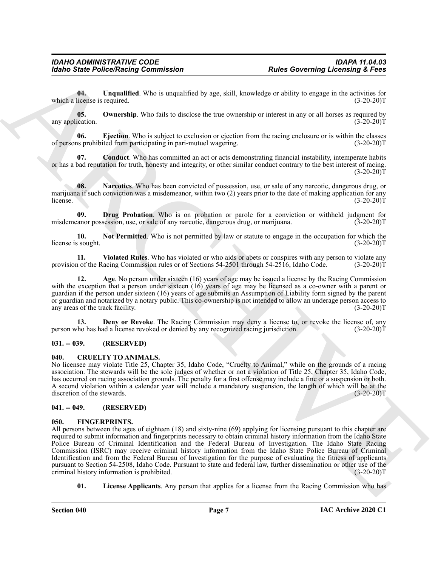<span id="page-6-15"></span>**04. Unqualified**. Who is unqualified by age, skill, knowledge or ability to engage in the activities for which a license is required. (3-20-20)T

<span id="page-6-14"></span>**05.** Ownership. Who fails to disclose the true ownership or interest in any or all horses as required by any application. (3-20-20)T

<span id="page-6-11"></span>**06. Ejection**. Who is subject to exclusion or ejection from the racing enclosure or is within the classes of persons prohibited from participating in pari-mutuel wagering. (3-20-20)T

<span id="page-6-8"></span>**07. Conduct**. Who has committed an act or acts demonstrating financial instability, intemperate habits or has a bad reputation for truth, honesty and integrity, or other similar conduct contrary to the best interest of racing.  $(3-20-20)T$ 

<span id="page-6-12"></span>**08.** Narcotics. Who has been convicted of possession, use, or sale of any narcotic, dangerous drug, or marijuana if such conviction was a misdemeanor, within two (2) years prior to the date of making application for any<br>(3-20-20)T license.  $(3-20-20)T$ 

<span id="page-6-10"></span>**09. Drug Probation**. Who is on probation or parole for a conviction or withheld judgment for a conviction or withheld in the discussion, use, or sale of any narcotic, dangerous drug, or marijuana. (3-20-20) misdemeanor possession, use, or sale of any narcotic, dangerous drug, or marijuana.

<span id="page-6-13"></span>**10.** Not Permitted. Who is not permitted by law or statute to engage in the occupation for which the sought. (3-20-20) license is sought.

<span id="page-6-16"></span>**11. Violated Rules**. Who has violated or who aids or abets or conspires with any person to violate any provision of the Racing Commission rules or of Sections 54-2501 through 54-2516, Idaho Code.

<span id="page-6-7"></span>**12. Age**. No person under sixteen (16) years of age may be issued a license by the Racing Commission with the exception that a person under sixteen (16) years of age may be licensed as a co-owner with a parent or guardian if the person under sixteen (16) years of age submits an Assumption of Liability form signed by the parent or guardian and notarized by a notary public. This co-ownership is not intended to allow an underage person access to any areas of the track facility. (3-20-20)T

<span id="page-6-9"></span>**13. Deny or Revoke**. The Racing Commission may deny a license to, or revoke the license of, any ho has had a license revoked or denied by any recognized racing jurisdiction. (3-20-20) person who has had a license revoked or denied by any recognized racing jurisdiction.

#### <span id="page-6-0"></span>**031. -- 039. (RESERVED)**

#### <span id="page-6-4"></span><span id="page-6-1"></span>**040. CRUELTY TO ANIMALS.**

No licensee may violate Title 25, Chapter 35, Idaho Code, "Cruelty to Animal," while on the grounds of a racing association. The stewards will be the sole judges of whether or not a violation of Title 25, Chapter 35, Idaho Code, has occurred on racing association grounds. The penalty for a first offense may include a fine or a suspension or both. A second violation within a calendar year will include a mandatory suspension, the length of which will be at the discretion of the stewards. (3-20-20)T

#### <span id="page-6-2"></span>**041. -- 049. (RESERVED)**

#### <span id="page-6-5"></span><span id="page-6-3"></span>**050. FINGERPRINTS.**

For the Police Street Principal Commission<br>
Units Governing Licensing's Lens<br>
Units (Security Continues)<br>
Weight a comparison of the control of the state of the control of the state of the state of the state<br>
which a comp All persons between the ages of eighteen (18) and sixty-nine (69) applying for licensing pursuant to this chapter are required to submit information and fingerprints necessary to obtain criminal history information from the Idaho State Police Bureau of Criminal Identification and the Federal Bureau of Investigation. The Idaho State Racing Commission (ISRC) may receive criminal history information from the Idaho State Police Bureau of Criminal Identification and from the Federal Bureau of Investigation for the purpose of evaluating the fitness of applicants pursuant to Section 54-2508, Idaho Code. Pursuant to state and federal law, further dissemination or other use of the criminal history information is prohibited. (3-20-20) criminal history information is prohibited.

<span id="page-6-6"></span>**01.** License Applicants. Any person that applies for a license from the Racing Commission who has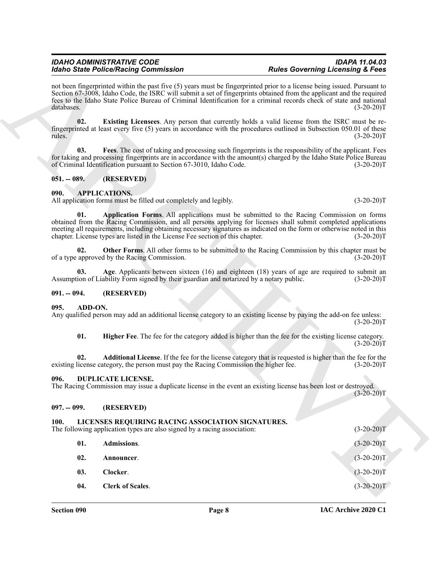#### <span id="page-7-15"></span>*IDAHO ADMINISTRATIVE CODE IDAPA 11.04.03 Idaho State Police/Racing Commission Rules Governing Licensing & Fees*

#### <span id="page-7-16"></span><span id="page-7-12"></span><span id="page-7-10"></span><span id="page-7-1"></span><span id="page-7-0"></span>**090. APPLICATIONS.**

#### <span id="page-7-13"></span><span id="page-7-11"></span><span id="page-7-2"></span>**091. -- 094. (RESERVED)**

#### <span id="page-7-9"></span><span id="page-7-7"></span><span id="page-7-3"></span>**095. ADD-ON.**

#### <span id="page-7-14"></span><span id="page-7-8"></span><span id="page-7-4"></span>**096. DUPLICATE LICENSE.**

#### <span id="page-7-5"></span>**097. -- 099. (RESERVED)**

#### <span id="page-7-21"></span><span id="page-7-20"></span><span id="page-7-19"></span><span id="page-7-18"></span><span id="page-7-17"></span><span id="page-7-6"></span>**100. LICENSES REQUIRING RACING ASSOCIATION SIGNATURES.**

|      |               | <b>Idaho State Police/Racing Commission</b>                                                                                                                                                                                                                                                                                                                                                                          | <b>Rules Governing Licensing &amp; Fees</b> |              |  |  |
|------|---------------|----------------------------------------------------------------------------------------------------------------------------------------------------------------------------------------------------------------------------------------------------------------------------------------------------------------------------------------------------------------------------------------------------------------------|---------------------------------------------|--------------|--|--|
|      | databases.    | not been fingerprinted within the past five (5) years must be fingerprinted prior to a license being issued. Pursuant to<br>Section 67-3008, Idaho Code, the ISRC will submit a set of fingerprints obtained from the applicant and the required<br>fees to the Idaho State Police Bureau of Criminal Identification for a criminal records check of state and national                                              |                                             | $(3-20-20)T$ |  |  |
|      | 02.<br>rules. | Existing Licensees. Any person that currently holds a valid license from the ISRC must be re-<br>fingerprinted at least every five (5) years in accordance with the procedures outlined in Subsection 050.01 of these                                                                                                                                                                                                |                                             | $(3-20-20)T$ |  |  |
|      | 03.           | Fees. The cost of taking and processing such fingerprints is the responsibility of the applicant. Fees<br>for taking and processing fingerprints are in accordance with the amount(s) charged by the Idaho State Police Bureau<br>of Criminal Identification pursuant to Section 67-3010, Idaho Code.                                                                                                                |                                             | $(3-20-20)T$ |  |  |
|      | $051. - 089.$ | (RESERVED)                                                                                                                                                                                                                                                                                                                                                                                                           |                                             |              |  |  |
| 090. |               | APPLICATIONS.<br>All application forms must be filled out completely and legibly.                                                                                                                                                                                                                                                                                                                                    |                                             | $(3-20-20)T$ |  |  |
|      | 01.           | Application Forms. All applications must be submitted to the Racing Commission on forms<br>obtained from the Racing Commission, and all persons applying for licenses shall submit completed applications<br>meeting all requirements, including obtaining necessary signatures as indicated on the form or otherwise noted in this<br>chapter. License types are listed in the License Fee section of this chapter. |                                             | $(3-20-20)T$ |  |  |
|      | 02.           | Other Forms. All other forms to be submitted to the Racing Commission by this chapter must be<br>of a type approved by the Racing Commission.                                                                                                                                                                                                                                                                        |                                             | $(3-20-20)T$ |  |  |
|      | 03.           | Age. Applicants between sixteen $(16)$ and eighteen $(18)$ years of age are required to submit an<br>Assumption of Liability Form signed by their guardian and notarized by a notary public.                                                                                                                                                                                                                         |                                             | $(3-20-20)T$ |  |  |
|      | $091. - 094.$ | (RESERVED)                                                                                                                                                                                                                                                                                                                                                                                                           |                                             |              |  |  |
| 095. | ADD-ON.       | Any qualified person may add an additional license category to an existing license by paying the add-on fee unless:                                                                                                                                                                                                                                                                                                  |                                             | $(3-20-20)T$ |  |  |
|      | 01.           | Higher Fee. The fee for the category added is higher than the fee for the existing license category.                                                                                                                                                                                                                                                                                                                 |                                             | $(3-20-20)T$ |  |  |
|      | 02.           | Additional License. If the fee for the license category that is requested is higher than the fee for the<br>existing license category, the person must pay the Racing Commission the higher fee.                                                                                                                                                                                                                     |                                             | $(3-20-20)T$ |  |  |
| 096. |               | DUPLICATE LICENSE.<br>The Racing Commission may issue a duplicate license in the event an existing license has been lost or destroyed.                                                                                                                                                                                                                                                                               |                                             | $(3-20-20)T$ |  |  |
|      | $097. - 099.$ | (RESERVED)                                                                                                                                                                                                                                                                                                                                                                                                           |                                             |              |  |  |
| 100. |               | LICENSES REQUIRING RACING ASSOCIATION SIGNATURES.<br>The following application types are also signed by a racing association:                                                                                                                                                                                                                                                                                        |                                             | $(3-20-20)T$ |  |  |
|      | 01.           | Admissions.                                                                                                                                                                                                                                                                                                                                                                                                          |                                             | $(3-20-20)T$ |  |  |
|      | 02.           | Announcer.                                                                                                                                                                                                                                                                                                                                                                                                           |                                             | $(3-20-20)T$ |  |  |
|      | 03.           | Clocker.                                                                                                                                                                                                                                                                                                                                                                                                             |                                             | $(3-20-20)T$ |  |  |
|      | 04.           | <b>Clerk of Scales.</b>                                                                                                                                                                                                                                                                                                                                                                                              |                                             | $(3-20-20)T$ |  |  |
|      |               |                                                                                                                                                                                                                                                                                                                                                                                                                      |                                             |              |  |  |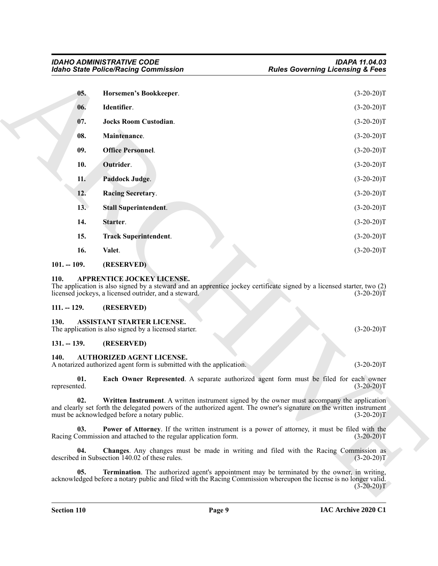<span id="page-8-18"></span><span id="page-8-17"></span><span id="page-8-16"></span><span id="page-8-15"></span><span id="page-8-14"></span>

| <b>Idaho State Police/Racing Commission</b> |                                                                                                          | <b>Rules Governing Licensing &amp; Fees</b>                                                                                                                                                                                        |  |  |
|---------------------------------------------|----------------------------------------------------------------------------------------------------------|------------------------------------------------------------------------------------------------------------------------------------------------------------------------------------------------------------------------------------|--|--|
| 05.                                         | Horsemen's Bookkeeper.                                                                                   | $(3-20-20)T$                                                                                                                                                                                                                       |  |  |
| 06.                                         | Identifier.                                                                                              | $(3-20-20)T$                                                                                                                                                                                                                       |  |  |
| 07.                                         | <b>Jocks Room Custodian.</b>                                                                             | $(3-20-20)T$                                                                                                                                                                                                                       |  |  |
| 08.                                         | Maintenance.                                                                                             | $(3-20-20)T$                                                                                                                                                                                                                       |  |  |
| 09.                                         | <b>Office Personnel.</b>                                                                                 | $(3-20-20)T$                                                                                                                                                                                                                       |  |  |
| 10.                                         | Outrider.                                                                                                | $(3-20-20)T$                                                                                                                                                                                                                       |  |  |
| 11.                                         | Paddock Judge.                                                                                           | $(3-20-20)T$                                                                                                                                                                                                                       |  |  |
| 12.                                         | <b>Racing Secretary.</b>                                                                                 | $(3-20-20)T$                                                                                                                                                                                                                       |  |  |
| 13.                                         | <b>Stall Superintendent.</b>                                                                             | $(3-20-20)T$                                                                                                                                                                                                                       |  |  |
| 14.                                         | Starter.                                                                                                 | $(3-20-20)T$                                                                                                                                                                                                                       |  |  |
| 15.                                         | <b>Track Superintendent.</b>                                                                             | $(3-20-20)T$                                                                                                                                                                                                                       |  |  |
| 16.                                         | Valet.                                                                                                   | $(3-20-20)T$                                                                                                                                                                                                                       |  |  |
| $101. - 109.$                               | (RESERVED)                                                                                               |                                                                                                                                                                                                                                    |  |  |
| 110.                                        | <b>APPRENTICE JOCKEY LICENSE.</b><br>licensed jockeys, a licensed outrider, and a steward.               | The application is also signed by a steward and an apprentice jockey certificate signed by a licensed starter, two (2)<br>$(3-20-20)T$                                                                                             |  |  |
| $111. - 129.$                               | (RESERVED)                                                                                               |                                                                                                                                                                                                                                    |  |  |
| 130.                                        | ASSISTANT STARTER LICENSE.<br>The application is also signed by a licensed starter.                      | $(3-20-20)T$                                                                                                                                                                                                                       |  |  |
| $131. - 139.$                               | (RESERVED)                                                                                               |                                                                                                                                                                                                                                    |  |  |
| 140.                                        | <b>AUTHORIZED AGENT LICENSE.</b><br>A notarized authorized agent form is submitted with the application. | $(3-20-20)T$                                                                                                                                                                                                                       |  |  |
| 01.<br>represented.                         |                                                                                                          | Each Owner Represented. A separate authorized agent form must be filed for each owner<br>$(3-20-20)T$                                                                                                                              |  |  |
| 02.                                         | must be acknowledged before a notary public.                                                             | Written Instrument. A written instrument signed by the owner must accompany the application<br>and clearly set forth the delegated powers of the authorized agent. The owner's signature on the written instrument<br>$(3-20-20)T$ |  |  |
| 03.                                         | Racing Commission and attached to the regular application form.                                          | <b>Power of Attorney.</b> If the written instrument is a power of attorney, it must be filed with the<br>$(3-20-20)T$                                                                                                              |  |  |
| 04.                                         | described in Subsection 140.02 of these rules.                                                           | Changes. Any changes must be made in writing and filed with the Racing Commission as<br>$(3-20-20)T$                                                                                                                               |  |  |
|                                             |                                                                                                          | Termination. The authorized agent's appointment may be terminated by the owner, in writing,                                                                                                                                        |  |  |

#### <span id="page-8-25"></span><span id="page-8-24"></span><span id="page-8-23"></span><span id="page-8-22"></span><span id="page-8-21"></span><span id="page-8-20"></span><span id="page-8-19"></span><span id="page-8-0"></span>**101. -- 109. (RESERVED)**

#### <span id="page-8-6"></span><span id="page-8-1"></span>**110. APPRENTICE JOCKEY LICENSE.**

#### <span id="page-8-2"></span>**111. -- 129. (RESERVED)**

#### <span id="page-8-7"></span><span id="page-8-3"></span>**130. ASSISTANT STARTER LICENSE.**

#### <span id="page-8-4"></span>**131. -- 139. (RESERVED)**

#### <span id="page-8-13"></span><span id="page-8-12"></span><span id="page-8-11"></span><span id="page-8-10"></span><span id="page-8-9"></span><span id="page-8-8"></span><span id="page-8-5"></span>**140. AUTHORIZED AGENT LICENSE.**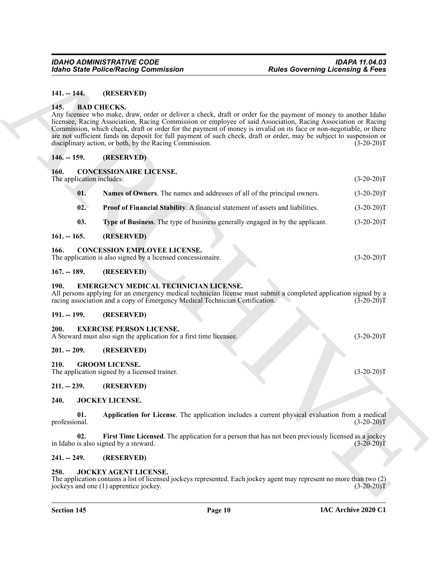#### <span id="page-9-0"></span>**141. -- 144. (RESERVED)**

#### <span id="page-9-16"></span><span id="page-9-1"></span>**145. BAD CHECKS.**

#### <span id="page-9-2"></span>**146. -- 159. (RESERVED)**

#### <span id="page-9-20"></span><span id="page-9-19"></span><span id="page-9-18"></span><span id="page-9-3"></span>**160. CONCESSIONAIRE LICENSE.**

|                                   | <b>Idaho State Police/Racing Commission</b>                                                                                                                                                                                                                                                                                                                                                                                                                                                                                                                     | <b>Rules Governing Licensing &amp; Fees</b> |  |  |
|-----------------------------------|-----------------------------------------------------------------------------------------------------------------------------------------------------------------------------------------------------------------------------------------------------------------------------------------------------------------------------------------------------------------------------------------------------------------------------------------------------------------------------------------------------------------------------------------------------------------|---------------------------------------------|--|--|
| $141. - 144.$                     | (RESERVED)                                                                                                                                                                                                                                                                                                                                                                                                                                                                                                                                                      |                                             |  |  |
| 145.                              | <b>BAD CHECKS.</b><br>Any licensee who make, draw, order or deliver a check, draft or order for the payment of money to another Idaho<br>licensee, Racing Association, Racing Commission or employee of said Association, Racing Association or Racing<br>Commission, which check, draft or order for the payment of money is invalid on its face or non-negotiable, or there<br>are not sufficient funds on deposit for full payment of such check, draft or order, may be subject to suspension or<br>disciplinary action, or both, by the Racing Commission. | $(3-20-20)T$                                |  |  |
| $146. - 159.$                     | (RESERVED)                                                                                                                                                                                                                                                                                                                                                                                                                                                                                                                                                      |                                             |  |  |
| 160.<br>The application includes: | <b>CONCESSIONAIRE LICENSE.</b>                                                                                                                                                                                                                                                                                                                                                                                                                                                                                                                                  | $(3-20-20)T$                                |  |  |
| 01.                               | Names of Owners. The names and addresses of all of the principal owners.                                                                                                                                                                                                                                                                                                                                                                                                                                                                                        | $(3-20-20)T$                                |  |  |
| 02.                               | Proof of Financial Stability. A financial statement of assets and liabilities.                                                                                                                                                                                                                                                                                                                                                                                                                                                                                  | $(3-20-20)T$                                |  |  |
| 03.                               | Type of Business. The type of business generally engaged in by the applicant.                                                                                                                                                                                                                                                                                                                                                                                                                                                                                   | $(3-20-20)T$                                |  |  |
| $161. - 165.$                     | (RESERVED)                                                                                                                                                                                                                                                                                                                                                                                                                                                                                                                                                      |                                             |  |  |
| 166.                              | <b>CONCESSION EMPLOYEE LICENSE.</b><br>The application is also signed by a licensed concessionaire.                                                                                                                                                                                                                                                                                                                                                                                                                                                             | $(3-20-20)T$                                |  |  |
| $167. - 189.$                     | (RESERVED)                                                                                                                                                                                                                                                                                                                                                                                                                                                                                                                                                      |                                             |  |  |
| <b>190.</b>                       | <b>EMERGENCY MEDICAL TECHNICIAN LICENSE.</b><br>All persons applying for an emergency medical technician license must submit a completed application signed by a<br>racing association and a copy of Emergency Medical Technician Certification.                                                                                                                                                                                                                                                                                                                | $(3-20-20)T$                                |  |  |
| $191. - 199.$                     | (RESERVED)                                                                                                                                                                                                                                                                                                                                                                                                                                                                                                                                                      |                                             |  |  |
| 200.                              | <b>EXERCISE PERSON LICENSE.</b><br>A Steward must also sign the application for a first time licensee.                                                                                                                                                                                                                                                                                                                                                                                                                                                          | $(3-20-20)T$                                |  |  |
| $201. - 209.$                     | (RESERVED)                                                                                                                                                                                                                                                                                                                                                                                                                                                                                                                                                      |                                             |  |  |
| 210.                              | <b>GROOM LICENSE.</b><br>The application signed by a licensed trainer.                                                                                                                                                                                                                                                                                                                                                                                                                                                                                          | $(3-20-20)T$                                |  |  |
|                                   | 211. -- 239. (RESERVED)                                                                                                                                                                                                                                                                                                                                                                                                                                                                                                                                         |                                             |  |  |
| 240.                              | JOCKEY LICENSE.                                                                                                                                                                                                                                                                                                                                                                                                                                                                                                                                                 |                                             |  |  |
| 01.<br>professional.              | Application for License. The application includes a current physical evaluation from a medical                                                                                                                                                                                                                                                                                                                                                                                                                                                                  | $(3-20-20)T$                                |  |  |
| 02.                               | First Time Licensed. The application for a person that has not been previously licensed as a jockey<br>in Idaho is also signed by a steward.                                                                                                                                                                                                                                                                                                                                                                                                                    | $(3-20-20)T$                                |  |  |
|                                   | (RESERVED)                                                                                                                                                                                                                                                                                                                                                                                                                                                                                                                                                      |                                             |  |  |
| $241. - 249.$                     |                                                                                                                                                                                                                                                                                                                                                                                                                                                                                                                                                                 |                                             |  |  |

#### <span id="page-9-21"></span><span id="page-9-4"></span>**161. -- 165. (RESERVED)**

#### <span id="page-9-17"></span><span id="page-9-5"></span>**166. CONCESSION EMPLOYEE LICENSE.**

#### <span id="page-9-6"></span>**167. -- 189. (RESERVED)**

#### <span id="page-9-22"></span><span id="page-9-7"></span>**190. EMERGENCY MEDICAL TECHNICIAN LICENSE.**

#### <span id="page-9-8"></span>**191. -- 199. (RESERVED)**

#### <span id="page-9-23"></span><span id="page-9-9"></span>**200. EXERCISE PERSON LICENSE.**

#### <span id="page-9-10"></span>**201. -- 209. (RESERVED)**

#### <span id="page-9-24"></span><span id="page-9-11"></span>**210. GROOM LICENSE.**

#### <span id="page-9-27"></span><span id="page-9-26"></span><span id="page-9-13"></span><span id="page-9-12"></span>**240. JOCKEY LICENSE.**

#### <span id="page-9-28"></span><span id="page-9-14"></span>**241. -- 249. (RESERVED)**

#### <span id="page-9-25"></span><span id="page-9-15"></span>**250. JOCKEY AGENT LICENSE.**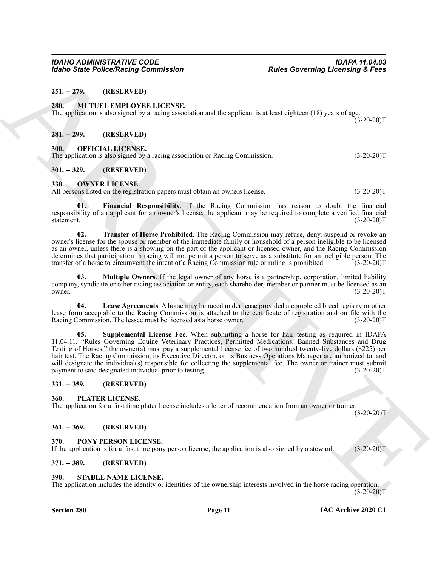#### <span id="page-10-0"></span>**251. -- 279. (RESERVED)**

#### <span id="page-10-12"></span><span id="page-10-1"></span>**280. MUTUEL EMPLOYEE LICENSE.**

The application is also signed by a racing association and the applicant is at least eighteen (18) years of age.  $(3-20-20)T$ 

#### <span id="page-10-2"></span>**281. -- 299. (RESERVED)**

#### <span id="page-10-13"></span><span id="page-10-3"></span>**300. OFFICIAL LICENSE.**

The application is also signed by a racing association or Racing Commission. (3-20-20)T

#### <span id="page-10-4"></span>**301. -- 329. (RESERVED)**

#### <span id="page-10-14"></span><span id="page-10-5"></span>**330. OWNER LICENSE.**

All persons listed on the registration papers must obtain an owners license. (3-20-20)T

<span id="page-10-15"></span>**01. Financial Responsibility**. If the Racing Commission has reason to doubt the financial responsibility of an applicant for an owner's license, the applicant may be required to complete a verified financial statement. (3-20-20)T

<span id="page-10-19"></span>**02. Transfer of Horse Prohibited**. The Racing Commission may refuse, deny, suspend or revoke an owner's license for the spouse or member of the immediate family or household of a person ineligible to be licensed as an owner, unless there is a showing on the part of the applicant or licensed owner, and the Racing Commission determines that participation in racing will not permit a person to serve as a substitute for an ineligible person. The transfer of a horse to circumvent the intent of a Racing Commission rule or ruling is prohibited. (3-2 transfer of a horse to circumvent the intent of a Racing Commission rule or ruling is prohibited.

<span id="page-10-17"></span>**03. Multiple Owners**. If the legal owner of any horse is a partnership, corporation, limited liability company, syndicate or other racing association or entity, each shareholder, member or partner must be licensed as an owner.  $(3-20-20)T$ 

<span id="page-10-18"></span><span id="page-10-16"></span>**04. Lease Agreements**. A horse may be raced under lease provided a completed breed registry or other lease form acceptable to the Racing Commission is attached to the certificate of registration and on file with the Racing Commission. The lessee must be licensed as a horse owner. (3-20-20)T

ARCHIVE **05. Supplemental License Fee**. When submitting a horse for hair testing as required in IDAPA 11.04.11, "Rules Governing Equine Veterinary Practices, Permitted Medications, Banned Substances and Drug Testing of Horses," the owner(s) must pay a supplemental license fee of two hundred twenty-five dollars (\$225) per hair test. The Racing Commission, its Executive Director, or its Business Operations Manager are authorized to, and will designate the individual(s) responsible for collecting the supplemental fee. The owner or trainer must submit payment to said designated individual prior to testing. (3-20-20) payment to said designated individual prior to testing.

#### <span id="page-10-6"></span>**331. -- 359. (RESERVED)**

#### <span id="page-10-20"></span><span id="page-10-7"></span>**360. PLATER LICENSE.**

The application for a first time plater license includes a letter of recommendation from an owner or trainer.

 $(3-20-20)T$ 

#### <span id="page-10-8"></span>**361. -- 369. (RESERVED)**

#### <span id="page-10-21"></span><span id="page-10-9"></span>**370. PONY PERSON LICENSE.**

If the application is for a first time pony person license, the application is also signed by a steward. (3-20-20)T

#### <span id="page-10-10"></span>**371. -- 389. (RESERVED)**

#### <span id="page-10-22"></span><span id="page-10-11"></span>**390. STABLE NAME LICENSE.**

The application includes the identity or identities of the ownership interests involved in the horse racing operation.  $(3-20-20)T$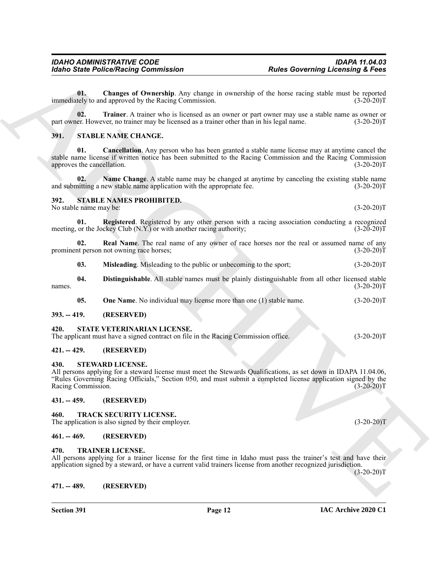<span id="page-11-14"></span>**01. Changes of Ownership**. Any change in ownership of the horse racing stable must be reported immediately to and approved by the Racing Commission. (3-20-20)T

<span id="page-11-15"></span>**02. Trainer**. A trainer who is licensed as an owner or part owner may use a stable name as owner or part owner. However, no trainer may be licensed as a trainer other than in his legal name. (3-20-20)T

#### <span id="page-11-12"></span><span id="page-11-11"></span><span id="page-11-0"></span>**391. STABLE NAME CHANGE.**

**01. Cancellation**. Any person who has been granted a stable name license may at anytime cancel the stable name license if written notice has been submitted to the Racing Commission and the Racing Commission approves the cancellation. (3-20-20)T

<span id="page-11-13"></span>**02. Name Change**. A stable name may be changed at anytime by canceling the existing stable name and submitting a new stable name application with the appropriate fee. (3-20-20)T

### <span id="page-11-16"></span><span id="page-11-1"></span>**392. STABLE NAMES PROHIBITED.**

<span id="page-11-21"></span>No stable name may be: (3-20-20)T

**01. Registered**. Registered by any other person with a racing association conducting a recognized meeting, or the Jockey Club (N.Y.) or with another racing authority; (3-20-20)T

**02. Real Name**. The real name of any owner of race horses nor the real or assumed name of any prominent person not owning race horses; (3-20-20)T

<span id="page-11-20"></span><span id="page-11-18"></span><span id="page-11-17"></span>**03. Misleading**. Misleading to the public or unbecoming to the sport; (3-20-20)T

**04. Distinguishable**. All stable names must be plainly distinguishable from all other licensed stable names.  $(3-20-20)T$ 

<span id="page-11-22"></span><span id="page-11-19"></span>**05.** One Name. No individual may license more than one (1) stable name. (3-20-20)T

#### <span id="page-11-2"></span>**393. -- 419. (RESERVED)**

#### <span id="page-11-3"></span>**420. STATE VETERINARIAN LICENSE.**

The applicant must have a signed contract on file in the Racing Commission office. (3-20-20)T

#### <span id="page-11-4"></span>**421. -- 429. (RESERVED)**

#### <span id="page-11-23"></span><span id="page-11-5"></span>**430. STEWARD LICENSE.**

Form State Police Street Police Street by Angle Rowman Roles Governing Licensing & Form<br>
U. S. Changes CO-menting Archives and the base of the street of the street street in the street of Co-menting Company and the street All persons applying for a steward license must meet the Stewards Qualifications, as set down in IDAPA 11.04.06, "Rules Governing Racing Officials," Section 050, and must submit a completed license application signed by the Racing Commission. (3-20-20)T

#### <span id="page-11-6"></span>**431. -- 459. (RESERVED)**

#### <span id="page-11-24"></span><span id="page-11-7"></span>**460. TRACK SECURITY LICENSE.**

The application is also signed by their employer. (3-20-20)T

#### <span id="page-11-8"></span>**461. -- 469. (RESERVED)**

#### <span id="page-11-25"></span><span id="page-11-9"></span>**470. TRAINER LICENSE.**

All persons applying for a trainer license for the first time in Idaho must pass the trainer's test and have their application signed by a steward, or have a current valid trainers license from another recognized jurisdiction.

(3-20-20)T

#### <span id="page-11-10"></span>**471. -- 489. (RESERVED)**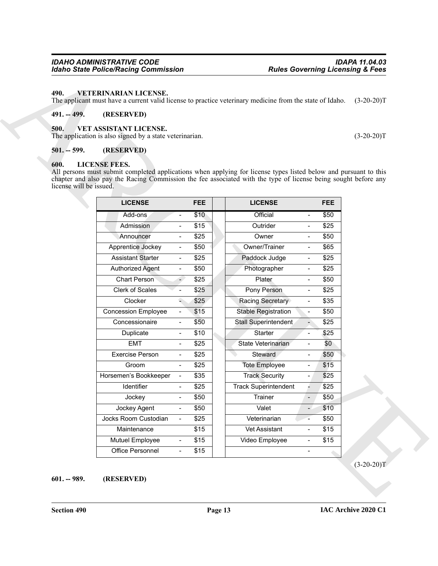#### *IDAHO ADMINISTRATIVE CODE IDAPA 11.04.03* **Idaho State Police/Racing Commission**

#### <span id="page-12-8"></span><span id="page-12-0"></span>**490. VETERINARIAN LICENSE.**

#### <span id="page-12-1"></span>**491. -- 499. (RESERVED)**

#### <span id="page-12-7"></span><span id="page-12-2"></span>**500. VET ASSISTANT LICENSE.**

# <span id="page-12-3"></span>**501. -- 599. (RESERVED)**

#### <span id="page-12-6"></span><span id="page-12-5"></span><span id="page-12-4"></span>**600. LICENSE FEES.**

| $491. - 499.$                   | (RESERVED)                                                                                                                                                                                                                                                 |            |                             |                          |              |              |
|---------------------------------|------------------------------------------------------------------------------------------------------------------------------------------------------------------------------------------------------------------------------------------------------------|------------|-----------------------------|--------------------------|--------------|--------------|
| 500.                            | VET ASSISTANT LICENSE.<br>The application is also signed by a state veterinarian.                                                                                                                                                                          |            |                             |                          |              | $(3-20-20)T$ |
| $501. - 599.$                   | (RESERVED)                                                                                                                                                                                                                                                 |            |                             |                          |              |              |
| 600.<br>license will be issued. | <b>LICENSE FEES.</b><br>All persons must submit completed applications when applying for license types listed below and pursuant to this<br>chapter and also pay the Racing Commission the fee associated with the type of license being sought before any |            |                             |                          |              |              |
|                                 | <b>LICENSE</b>                                                                                                                                                                                                                                             | <b>FEE</b> | <b>LICENSE</b>              |                          | <b>FEE</b>   |              |
|                                 | Add-ons<br>$\overline{\phantom{a}}$                                                                                                                                                                                                                        | \$10       | Official                    |                          | \$50         |              |
|                                 | Admission<br>$\overline{\phantom{a}}$                                                                                                                                                                                                                      | \$15       | Outrider                    | $\blacksquare$           | \$25         |              |
|                                 | Announcer<br>$\overline{\phantom{a}}$                                                                                                                                                                                                                      | \$25       | Owner                       |                          | \$50         |              |
|                                 | Apprentice Jockey<br>$\overline{\phantom{a}}$                                                                                                                                                                                                              | \$50       | Owner/Trainer               | $\hbox{--}$              | \$65         |              |
|                                 | <b>Assistant Starter</b><br>$\blacksquare$                                                                                                                                                                                                                 | \$25       | Paddock Judge               | $\blacksquare$           | \$25         |              |
|                                 | <b>Authorized Agent</b><br>$\overline{\phantom{a}}$                                                                                                                                                                                                        | \$50       | Photographer                | $\hbox{--}$              | \$25         |              |
|                                 | <b>Chart Person</b><br>$\blacksquare$                                                                                                                                                                                                                      | \$25       | Plater                      |                          | \$50         |              |
|                                 | Clerk of Scales<br>$\blacksquare$                                                                                                                                                                                                                          | \$25       | Pony Person                 | $\blacksquare$           | \$25         |              |
|                                 | Clocker<br>٠                                                                                                                                                                                                                                               | \$25       | Racing Secretary            |                          | \$35         |              |
|                                 | <b>Concession Employee</b><br>$\blacksquare$                                                                                                                                                                                                               | \$15       | <b>Stable Registration</b>  | $\hbox{--}$              | \$50         |              |
|                                 | Concessionaire<br>$\blacksquare$                                                                                                                                                                                                                           | \$50       | Stall Superintendent        | $\overline{\phantom{0}}$ | \$25         |              |
|                                 | Duplicate<br>$\overline{\phantom{a}}$                                                                                                                                                                                                                      | \$10       | Starter                     | $\overline{\phantom{a}}$ | \$25         |              |
|                                 | <b>EMT</b><br>$\overline{\phantom{0}}$                                                                                                                                                                                                                     | \$25       | State Veterinarian          |                          | \$0          |              |
|                                 | <b>Exercise Person</b><br>$\overline{\phantom{a}}$                                                                                                                                                                                                         | \$25       | Steward                     | $\blacksquare$           | \$50         |              |
|                                 | Groom<br>$\blacksquare$                                                                                                                                                                                                                                    | \$25       | <b>Tote Employee</b>        |                          | \$15         |              |
|                                 | Horsemen's Bookkeeper<br>$\blacksquare$                                                                                                                                                                                                                    | \$35       | <b>Track Security</b>       | $\overline{\phantom{a}}$ | \$25         |              |
|                                 | Identifier<br>$\qquad \qquad \blacksquare$                                                                                                                                                                                                                 | \$25       | <b>Track Superintendent</b> |                          | $\sqrt{$25}$ |              |
|                                 | Jockey<br>$\blacksquare$                                                                                                                                                                                                                                   | \$50       | Trainer                     | $\overline{\phantom{a}}$ | \$50         |              |
|                                 | Jockey Agent<br>$\blacksquare$                                                                                                                                                                                                                             | \$50       | Valet                       | $\overline{\phantom{a}}$ | \$10         |              |
|                                 | Jocks Room Custodian<br>$\blacksquare$                                                                                                                                                                                                                     | \$25       | Veterinarian                | $\blacksquare$           | \$50         |              |
|                                 | Maintenance                                                                                                                                                                                                                                                | \$15       | Vet Assistant               | $\blacksquare$           | \$15         |              |
|                                 | Mutuel Employee<br>$\blacksquare$                                                                                                                                                                                                                          | \$15       | Video Employee              | $\blacksquare$           | \$15         |              |
|                                 | Office Personnel<br>$\blacksquare$                                                                                                                                                                                                                         | \$15       |                             | $\blacksquare$           |              |              |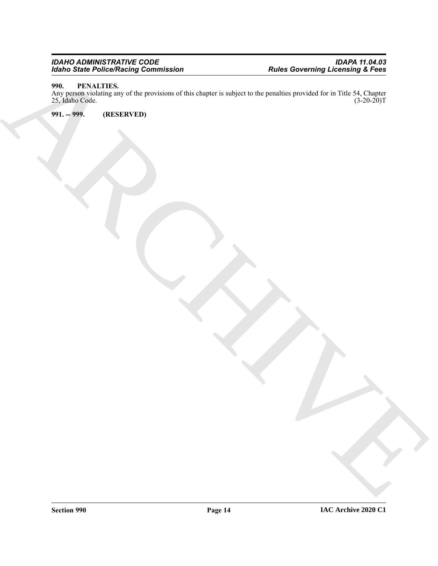#### *IDAHO ADMINISTRATIVE CODE IDAPA 11.04.03 Idaho State Police/Racing Commission Rules Governing Licensing & Fees*

# <span id="page-13-2"></span><span id="page-13-0"></span>**990. PENALTIES.**

Existe Principal Projection Contenting Communistics<br>
2011 - The Marchives and Science of the Superintensity of the Company is a subject to the production provided for the Table 21, Children<br>
2011 - 1999. . . . . . . . . . Any person violating any of the provisions of this chapter is subject to the penalties provided for in Title 54, Chapter 25, Idaho Code. (3-20-20)T 25, Idaho Code.

<span id="page-13-1"></span>**991. -- 999. (RESERVED)**